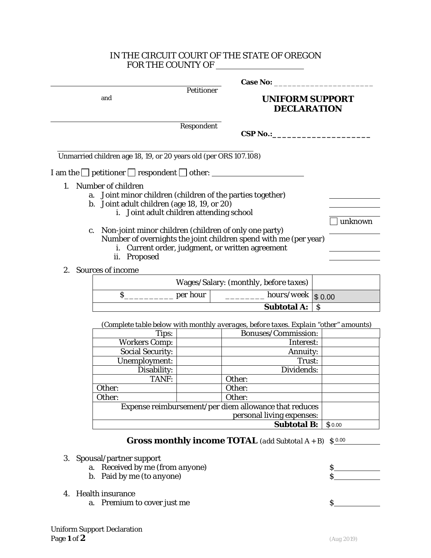## IN THE CIRCUIT COURT OF THE STATE OF OREGON FOR THE COUNTY OF

|                            | and                                                                                                                                                                         | Petitioner | <b>UNIFORM SUPPORT</b><br><b>DECLARATION</b>                                                                              |              |  |
|----------------------------|-----------------------------------------------------------------------------------------------------------------------------------------------------------------------------|------------|---------------------------------------------------------------------------------------------------------------------------|--------------|--|
|                            |                                                                                                                                                                             | Respondent | CSP No.:                                                                                                                  |              |  |
|                            | Unmarried children age 18, 19, or 20 years old (per ORS 107.108)                                                                                                            |            |                                                                                                                           |              |  |
|                            | I am the $\Box$ petitioner $\Box$ respondent $\Box$ other:                                                                                                                  |            |                                                                                                                           |              |  |
| 1.                         | Number of children<br>a. Joint minor children (children of the parties together)<br>b. Joint adult children (age 18, 19, or 20)<br>i. Joint adult children attending school |            |                                                                                                                           | unknown      |  |
|                            | c. Non-joint minor children (children of only one party)<br>ii. Proposed                                                                                                    |            | Number of overnights the joint children spend with me (per year)<br>i. Current order, judgment, or written agreement      |              |  |
|                            | 2. Sources of income                                                                                                                                                        |            |                                                                                                                           |              |  |
|                            |                                                                                                                                                                             |            | Wages/Salary: (monthly, before taxes)                                                                                     |              |  |
|                            | $S_{\text{2}}$ per hour                                                                                                                                                     |            | $\sqrt{\textit{hours}/\textit{week}}$ \$ 0.00<br>$\overline{\phantom{a}}$ . The same is a set of $\overline{\phantom{a}}$ |              |  |
|                            |                                                                                                                                                                             |            | Subtotal A:                                                                                                               | <sub>S</sub> |  |
|                            |                                                                                                                                                                             |            | (Complete table below with monthly averages, before taxes. Explain "other" amounts)                                       |              |  |
|                            | Tips:                                                                                                                                                                       |            | Bonuses/Commission:                                                                                                       |              |  |
|                            | <b>Workers Comp:</b>                                                                                                                                                        |            | Interest:                                                                                                                 |              |  |
|                            | Social Security:                                                                                                                                                            |            | <b>Annuity:</b>                                                                                                           |              |  |
|                            | Unemployment:                                                                                                                                                               |            | Trust:                                                                                                                    |              |  |
|                            | Disability:                                                                                                                                                                 |            | Dividends:                                                                                                                |              |  |
|                            | TANF:                                                                                                                                                                       |            | Other:                                                                                                                    |              |  |
|                            | Other:                                                                                                                                                                      |            | Other:                                                                                                                    |              |  |
|                            | Other:                                                                                                                                                                      |            | Other:                                                                                                                    |              |  |
|                            | Expense reimbursement/per diem allowance that reduces                                                                                                                       |            |                                                                                                                           |              |  |
|                            |                                                                                                                                                                             |            | personal living expenses:                                                                                                 |              |  |
|                            |                                                                                                                                                                             |            | <b>Subtotal B:</b>                                                                                                        | \$0.00       |  |
|                            |                                                                                                                                                                             |            | <b>Gross monthly income TOTAL</b> (add Subtotal $A + B$ ) $\int \frac{0.00}{1 + 1}$                                       |              |  |
|                            |                                                                                                                                                                             |            |                                                                                                                           |              |  |
| 3. Spousal/partner support |                                                                                                                                                                             |            |                                                                                                                           |              |  |
|                            | a. Received by me (from anyone)                                                                                                                                             |            |                                                                                                                           | \$           |  |
|                            | b. Paid by me (to anyone)                                                                                                                                                   |            |                                                                                                                           | \$           |  |
|                            |                                                                                                                                                                             |            |                                                                                                                           |              |  |
|                            | 4. Health insurance                                                                                                                                                         |            |                                                                                                                           | \$           |  |
|                            | a. Premium to cover just me                                                                                                                                                 |            |                                                                                                                           |              |  |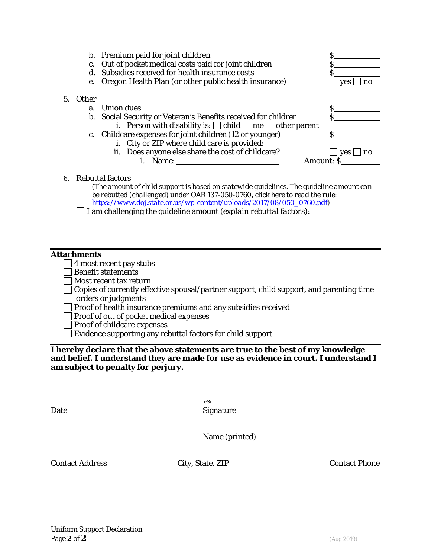|              | b. Premium paid for joint children                                       |                  |
|--------------|--------------------------------------------------------------------------|------------------|
| c.           | Out of pocket medical costs paid for joint children                      |                  |
| d.           | Subsidies received for health insurance costs                            |                  |
| e.           | Oregon Health Plan (or other public health insurance)                    | ves              |
| <b>Other</b> |                                                                          |                  |
| a.           | <b>Union dues</b>                                                        |                  |
| $b_{1}$      | Social Security or Veteran's Benefits received for children              |                  |
|              | i. Person with disability is: $\Box$ child $\Box$ me $\Box$ other parent |                  |
|              | c. Childcare expenses for joint children (12 or younger)                 |                  |
|              | i. City or ZIP where child care is provided:                             |                  |
|              | ii. Does anyone else share the cost of childcare?                        | <b>ves</b><br>no |
|              |                                                                          | Amount: S        |
|              |                                                                          |                  |

### 6. Rebuttal factors

*(The amount of child support is based on statewide guidelines. The guideline amount can be rebutted (challenged) under OAR 137-050-0760, click here to read the rule: [https://www.doj.state.or.us/wp-content/uploads/2017/08/050\\_0760.pdf\)](https://www.doj.state.or.us/wp-content/uploads/2017/08/050_0760.pdf)*

I am challenging the guideline amount *(explain rebuttal factors):*

#### **Attachments**

 $5<sub>l</sub>$ 

- $\Box$  4 most recent pay stubs
- Benefit statements
- Most recent tax return
- $\Box$  Copies of currently effective spousal/partner support, child support, and parenting time orders or judgments
- Proof of health insurance premiums and any subsidies received
- Proof of out of pocket medical expenses
- Proof of childcare expenses
- Evidence supporting any rebuttal factors for child support

**I hereby declare that the above statements are true to the best of my knowledge and belief. I understand they are made for use as evidence in court. I understand I am subject to penalty for perjury.**

Date Signature eS/

Name (printed)

Contact Address City, State, ZIP Contact Phone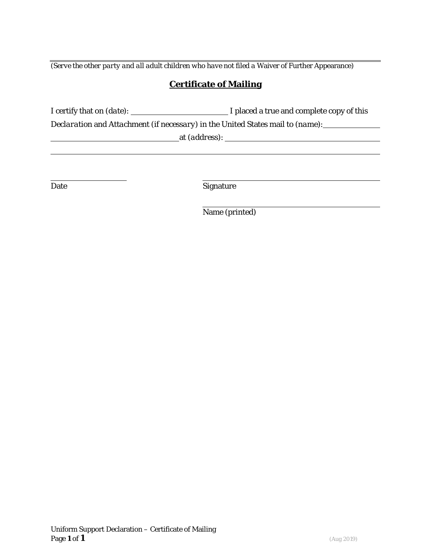*(Serve the other party and all adult children who have not filed a Waiver of Further Appearance)* 

# **Certificate of Mailing**

I certify that on *(date)*: I placed a true and complete copy of this

*Declaration* and *Attachment (if necessary)* in the United States mail to *(name)*:

at *(address)*:

Date Signature

Name (printed)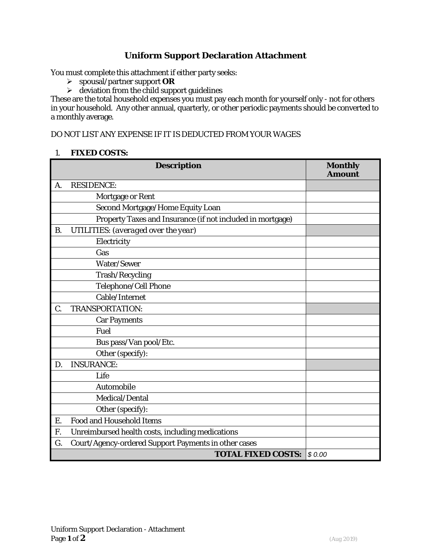# **Uniform Support Declaration Attachment**

You must complete this attachment if either party seeks:

- spousal/partner support **OR**
- $\triangleright$  deviation from the child support guidelines

These are the total household expenses you must pay each month for yourself only - not for others in your household. Any other annual, quarterly, or other periodic payments should be converted to a monthly average.

DO NOT LIST ANY EXPENSE IF IT IS DEDUCTED FROM YOUR WAGES

#### 1. **FIXED COSTS:**

|           | <b>Description</b>                                         | <b>Monthly</b><br><b>Amount</b> |
|-----------|------------------------------------------------------------|---------------------------------|
| A.        | <b>RESIDENCE:</b>                                          |                                 |
|           | Mortgage or Rent                                           |                                 |
|           | Second Mortgage/Home Equity Loan                           |                                 |
|           | Property Taxes and Insurance (if not included in mortgage) |                                 |
| <b>B.</b> | UTILITIES: (averaged over the year)                        |                                 |
|           | Electricity                                                |                                 |
|           | Gas                                                        |                                 |
|           | Water/Sewer                                                |                                 |
|           | Trash/Recycling                                            |                                 |
|           | Telephone/Cell Phone                                       |                                 |
|           | Cable/Internet                                             |                                 |
| C.        | <b>TRANSPORTATION:</b>                                     |                                 |
|           | <b>Car Payments</b>                                        |                                 |
|           | Fuel                                                       |                                 |
|           | Bus pass/Van pool/Etc.                                     |                                 |
|           | Other (specify):                                           |                                 |
| D.        | <b>INSURANCE:</b>                                          |                                 |
|           | Life                                                       |                                 |
|           | Automobile                                                 |                                 |
|           | Medical/Dental                                             |                                 |
|           | Other (specify):                                           |                                 |
| Ε.        | <b>Food and Household Items</b>                            |                                 |
| F.        | Unreimbursed health costs, including medications           |                                 |
| G.        | Court/Agency-ordered Support Payments in other cases       |                                 |
|           | <b>TOTAL FIXED COSTS:</b>                                  | \$0.00                          |